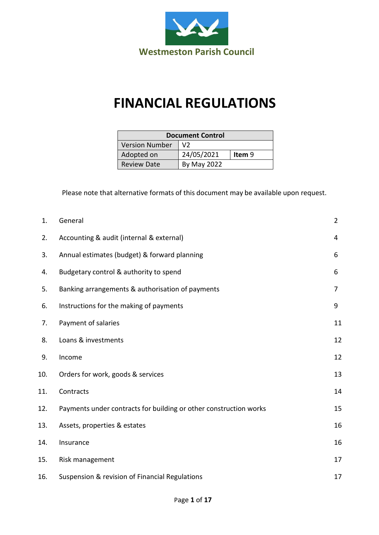

## **FINANCIAL REGULATIONS**

| <b>Document Control</b> |                |        |  |
|-------------------------|----------------|--------|--|
| <b>Version Number</b>   | V <sub>2</sub> |        |  |
| Adopted on              | 24/05/2021     | Item 9 |  |
| <b>Review Date</b>      | By May 2022    |        |  |

Please note that alternative formats of this document may be available upon request.

| 1.  | General                                                           | $\overline{2}$ |
|-----|-------------------------------------------------------------------|----------------|
| 2.  | Accounting & audit (internal & external)                          | 4              |
| 3.  | Annual estimates (budget) & forward planning                      | 6              |
| 4.  | Budgetary control & authority to spend                            | 6              |
| 5.  | Banking arrangements & authorisation of payments                  | 7              |
| 6.  | Instructions for the making of payments                           | 9              |
| 7.  | Payment of salaries                                               | 11             |
| 8.  | Loans & investments                                               | 12             |
| 9.  | Income                                                            | 12             |
| 10. | Orders for work, goods & services                                 | 13             |
| 11. | Contracts                                                         | 14             |
| 12. | Payments under contracts for building or other construction works | 15             |
| 13. | Assets, properties & estates                                      | 16             |
| 14. | Insurance                                                         | 16             |
| 15. | Risk management                                                   | 17             |
| 16. | Suspension & revision of Financial Regulations                    | 17             |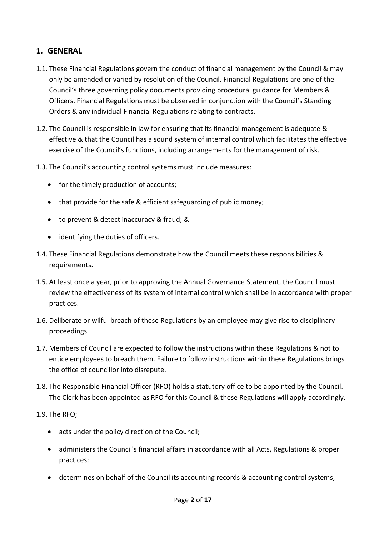## <span id="page-1-0"></span>**1. GENERAL**

- 1.1. These Financial Regulations govern the conduct of financial management by the Council & may only be amended or varied by resolution of the Council. Financial Regulations are one of the Council's three governing policy documents providing procedural guidance for Members & Officers. Financial Regulations must be observed in conjunction with the Council's Standing Orders & any individual Financial Regulations relating to contracts.
- 1.2. The Council is responsible in law for ensuring that its financial management is adequate & effective & that the Council has a sound system of internal control which facilitates the effective exercise of the Council's functions, including arrangements for the management of risk.
- 1.3. The Council's accounting control systems must include measures:
	- for the timely production of accounts;
	- that provide for the safe & efficient safeguarding of public money;
	- to prevent & detect inaccuracy & fraud; &
	- identifying the duties of officers.
- 1.4. These Financial Regulations demonstrate how the Council meets these responsibilities & requirements.
- 1.5. At least once a year, prior to approving the Annual Governance Statement, the Council must review the effectiveness of its system of internal control which shall be in accordance with proper practices.
- 1.6. Deliberate or wilful breach of these Regulations by an employee may give rise to disciplinary proceedings.
- 1.7. Members of Council are expected to follow the instructions within these Regulations & not to entice employees to breach them. Failure to follow instructions within these Regulations brings the office of councillor into disrepute.
- 1.8. The Responsible Financial Officer (RFO) holds a statutory office to be appointed by the Council. The Clerk has been appointed as RFO for this Council & these Regulations will apply accordingly.
- 1.9. The RFO;
	- acts under the policy direction of the Council;
	- administers the Council's financial affairs in accordance with all Acts, Regulations & proper practices;
	- determines on behalf of the Council its accounting records & accounting control systems;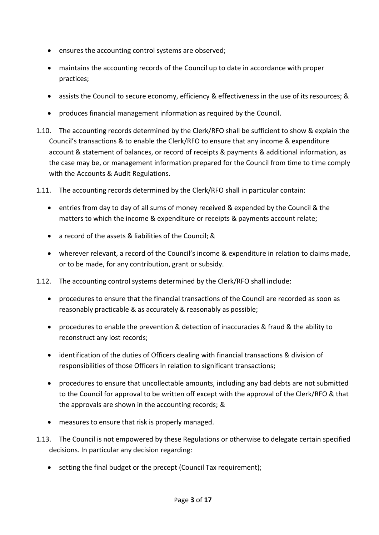- ensures the accounting control systems are observed;
- maintains the accounting records of the Council up to date in accordance with proper practices;
- assists the Council to secure economy, efficiency & effectiveness in the use of its resources; &
- produces financial management information as required by the Council.
- 1.10. The accounting records determined by the Clerk/RFO shall be sufficient to show & explain the Council's transactions & to enable the Clerk/RFO to ensure that any income & expenditure account & statement of balances, or record of receipts & payments & additional information, as the case may be, or management information prepared for the Council from time to time comply with the Accounts & Audit Regulations.
- 1.11. The accounting records determined by the Clerk/RFO shall in particular contain:
	- entries from day to day of all sums of money received & expended by the Council & the matters to which the income & expenditure or receipts & payments account relate;
	- a record of the assets & liabilities of the Council; &
	- wherever relevant, a record of the Council's income & expenditure in relation to claims made, or to be made, for any contribution, grant or subsidy.
- 1.12. The accounting control systems determined by the Clerk/RFO shall include:
	- procedures to ensure that the financial transactions of the Council are recorded as soon as reasonably practicable & as accurately & reasonably as possible;
	- procedures to enable the prevention & detection of inaccuracies & fraud & the ability to reconstruct any lost records;
	- identification of the duties of Officers dealing with financial transactions & division of responsibilities of those Officers in relation to significant transactions;
	- procedures to ensure that uncollectable amounts, including any bad debts are not submitted to the Council for approval to be written off except with the approval of the Clerk/RFO & that the approvals are shown in the accounting records; &
	- measures to ensure that risk is properly managed.
- 1.13. The Council is not empowered by these Regulations or otherwise to delegate certain specified decisions. In particular any decision regarding:
	- setting the final budget or the precept (Council Tax requirement);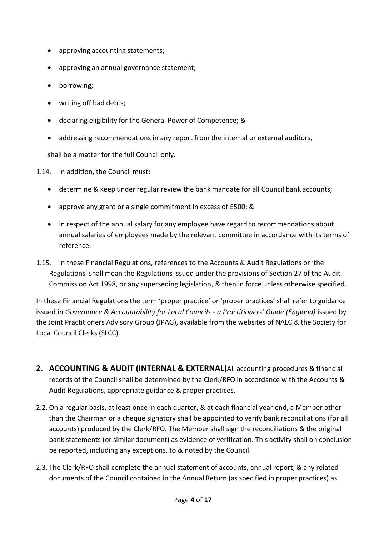- approving accounting statements;
- approving an annual governance statement;
- borrowing;
- writing off bad debts;
- declaring eligibility for the General Power of Competence; &
- addressing recommendations in any report from the internal or external auditors,

shall be a matter for the full Council only.

1.14. In addition, the Council must:

- determine & keep under regular review the bank mandate for all Council bank accounts;
- approve any grant or a single commitment in excess of £500; &
- in respect of the annual salary for any employee have regard to recommendations about annual salaries of employees made by the relevant committee in accordance with its terms of reference.
- 1.15. In these Financial Regulations, references to the Accounts & Audit Regulations or 'the Regulations' shall mean the Regulations issued under the provisions of Section 27 of the Audit Commission Act 1998, or any superseding legislation, & then in force unless otherwise specified.

In these Financial Regulations the term 'proper practice' or 'proper practices' shall refer to guidance issued in *Governance & Accountability for Local Councils - a Practitioners' Guide (England)* issued by the Joint Practitioners Advisory Group (JPAG), available from the websites of NALC & the Society for Local Council Clerks (SLCC).

- **2. ACCOUNTING & AUDIT (INTERNAL & EXTERNAL)**All accounting procedures & financial records of the Council shall be determined by the Clerk/RFO in accordance with the Accounts & Audit Regulations, appropriate guidance & proper practices.
- 2.2. On a regular basis, at least once in each quarter, & at each financial year end, a Member other than the Chairman or a cheque signatory shall be appointed to verify bank reconciliations (for all accounts) produced by the Clerk/RFO. The Member shall sign the reconciliations & the original bank statements (or similar document) as evidence of verification. This activity shall on conclusion be reported, including any exceptions, to & noted by the Council.
- 2.3. The Clerk/RFO shall complete the annual statement of accounts, annual report, & any related documents of the Council contained in the Annual Return (as specified in proper practices) as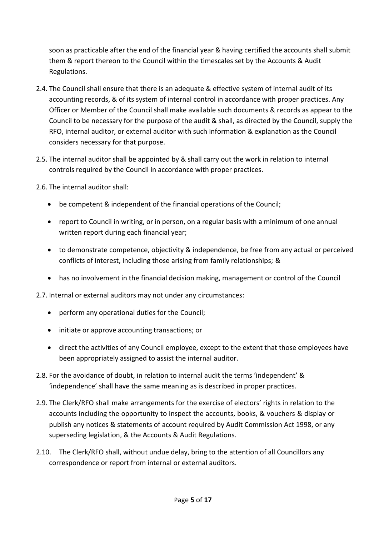soon as practicable after the end of the financial year & having certified the accounts shall submit them & report thereon to the Council within the timescales set by the Accounts & Audit Regulations.

- 2.4. The Council shall ensure that there is an adequate & effective system of internal audit of its accounting records, & of its system of internal control in accordance with proper practices. Any Officer or Member of the Council shall make available such documents & records as appear to the Council to be necessary for the purpose of the audit & shall, as directed by the Council, supply the RFO, internal auditor, or external auditor with such information & explanation as the Council considers necessary for that purpose.
- 2.5. The internal auditor shall be appointed by & shall carry out the work in relation to internal controls required by the Council in accordance with proper practices.

2.6. The internal auditor shall:

- be competent & independent of the financial operations of the Council;
- report to Council in writing, or in person, on a regular basis with a minimum of one annual written report during each financial year;
- to demonstrate competence, objectivity & independence, be free from any actual or perceived conflicts of interest, including those arising from family relationships; &
- has no involvement in the financial decision making, management or control of the Council

2.7. Internal or external auditors may not under any circumstances:

- perform any operational duties for the Council;
- initiate or approve accounting transactions; or
- direct the activities of any Council employee, except to the extent that those employees have been appropriately assigned to assist the internal auditor.
- 2.8. For the avoidance of doubt, in relation to internal audit the terms 'independent' & 'independence' shall have the same meaning as is described in proper practices.
- 2.9. The Clerk/RFO shall make arrangements for the exercise of electors' rights in relation to the accounts including the opportunity to inspect the accounts, books, & vouchers & display or publish any notices & statements of account required by Audit Commission Act 1998, or any superseding legislation, & the Accounts & Audit Regulations.
- 2.10. The Clerk/RFO shall, without undue delay, bring to the attention of all Councillors any correspondence or report from internal or external auditors.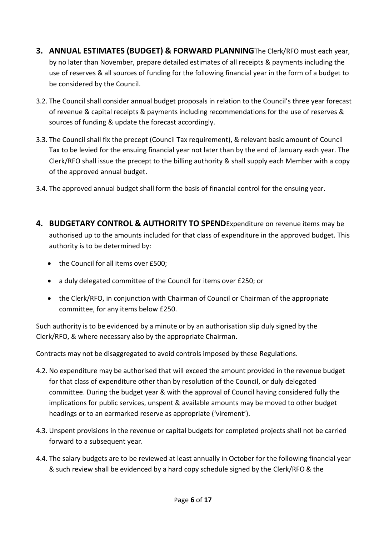- **3. ANNUAL ESTIMATES (BUDGET) & FORWARD PLANNING**The Clerk/RFO must each year, by no later than November, prepare detailed estimates of all receipts & payments including the use of reserves & all sources of funding for the following financial year in the form of a budget to be considered by the Council.
- 3.2. The Council shall consider annual budget proposals in relation to the Council's three year forecast of revenue & capital receipts & payments including recommendations for the use of reserves & sources of funding & update the forecast accordingly.
- 3.3. The Council shall fix the precept (Council Tax requirement), & relevant basic amount of Council Tax to be levied for the ensuing financial year not later than by the end of January each year. The Clerk/RFO shall issue the precept to the billing authority & shall supply each Member with a copy of the approved annual budget.
- 3.4. The approved annual budget shall form the basis of financial control for the ensuing year.
- **4. BUDGETARY CONTROL & AUTHORITY TO SPEND**Expenditure on revenue items may be authorised up to the amounts included for that class of expenditure in the approved budget. This authority is to be determined by:
	- the Council for all items over £500;
	- a duly delegated committee of the Council for items over £250; or
	- the Clerk/RFO, in conjunction with Chairman of Council or Chairman of the appropriate committee, for any items below £250.

Such authority is to be evidenced by a minute or by an authorisation slip duly signed by the Clerk/RFO, & where necessary also by the appropriate Chairman.

Contracts may not be disaggregated to avoid controls imposed by these Regulations.

- 4.2. No expenditure may be authorised that will exceed the amount provided in the revenue budget for that class of expenditure other than by resolution of the Council, or duly delegated committee. During the budget year & with the approval of Council having considered fully the implications for public services, unspent & available amounts may be moved to other budget headings or to an earmarked reserve as appropriate ('virement').
- 4.3. Unspent provisions in the revenue or capital budgets for completed projects shall not be carried forward to a subsequent year.
- 4.4. The salary budgets are to be reviewed at least annually in October for the following financial year & such review shall be evidenced by a hard copy schedule signed by the Clerk/RFO & the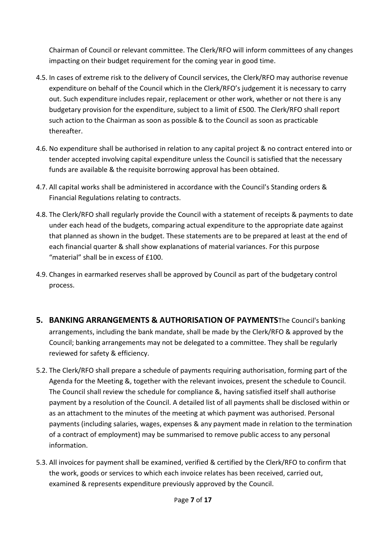Chairman of Council or relevant committee. The Clerk/RFO will inform committees of any changes impacting on their budget requirement for the coming year in good time.

- 4.5. In cases of extreme risk to the delivery of Council services, the Clerk/RFO may authorise revenue expenditure on behalf of the Council which in the Clerk/RFO's judgement it is necessary to carry out. Such expenditure includes repair, replacement or other work, whether or not there is any budgetary provision for the expenditure, subject to a limit of £500. The Clerk/RFO shall report such action to the Chairman as soon as possible & to the Council as soon as practicable thereafter.
- 4.6. No expenditure shall be authorised in relation to any capital project & no contract entered into or tender accepted involving capital expenditure unless the Council is satisfied that the necessary funds are available & the requisite borrowing approval has been obtained.
- 4.7. All capital works shall be administered in accordance with the Council's Standing orders & Financial Regulations relating to contracts.
- 4.8. The Clerk/RFO shall regularly provide the Council with a statement of receipts & payments to date under each head of the budgets, comparing actual expenditure to the appropriate date against that planned as shown in the budget. These statements are to be prepared at least at the end of each financial quarter & shall show explanations of material variances. For this purpose "material" shall be in excess of £100.
- 4.9. Changes in earmarked reserves shall be approved by Council as part of the budgetary control process.
- **5. BANKING ARRANGEMENTS & AUTHORISATION OF PAYMENTS**The Council's banking arrangements, including the bank mandate, shall be made by the Clerk/RFO & approved by the Council; banking arrangements may not be delegated to a committee. They shall be regularly reviewed for safety & efficiency.
- 5.2. The Clerk/RFO shall prepare a schedule of payments requiring authorisation, forming part of the Agenda for the Meeting &, together with the relevant invoices, present the schedule to Council. The Council shall review the schedule for compliance &, having satisfied itself shall authorise payment by a resolution of the Council. A detailed list of all payments shall be disclosed within or as an attachment to the minutes of the meeting at which payment was authorised. Personal payments (including salaries, wages, expenses & any payment made in relation to the termination of a contract of employment) may be summarised to remove public access to any personal information.
- 5.3. All invoices for payment shall be examined, verified & certified by the Clerk/RFO to confirm that the work, goods or services to which each invoice relates has been received, carried out, examined & represents expenditure previously approved by the Council.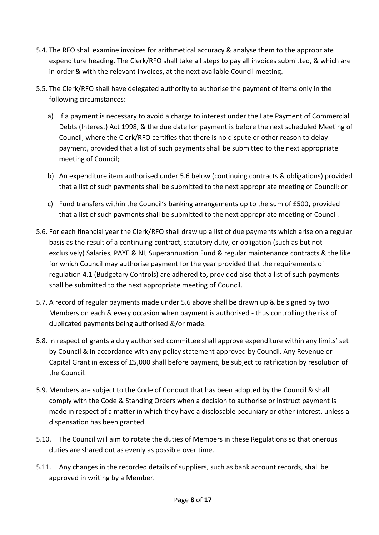- 5.4. The RFO shall examine invoices for arithmetical accuracy & analyse them to the appropriate expenditure heading. The Clerk/RFO shall take all steps to pay all invoices submitted, & which are in order & with the relevant invoices, at the next available Council meeting.
- 5.5. The Clerk/RFO shall have delegated authority to authorise the payment of items only in the following circumstances:
	- a) If a payment is necessary to avoid a charge to interest under the Late Payment of Commercial Debts (Interest) Act 1998, & the due date for payment is before the next scheduled Meeting of Council, where the Clerk/RFO certifies that there is no dispute or other reason to delay payment, provided that a list of such payments shall be submitted to the next appropriate meeting of Council;
	- b) An expenditure item authorised under 5.6 below (continuing contracts & obligations) provided that a list of such payments shall be submitted to the next appropriate meeting of Council; or
	- c) Fund transfers within the Council's banking arrangements up to the sum of £500, provided that a list of such payments shall be submitted to the next appropriate meeting of Council.
- 5.6. For each financial year the Clerk/RFO shall draw up a list of due payments which arise on a regular basis as the result of a continuing contract, statutory duty, or obligation (such as but not exclusively) Salaries, PAYE & NI, Superannuation Fund & regular maintenance contracts & the like for which Council may authorise payment for the year provided that the requirements of regulation 4.1 (Budgetary Controls) are adhered to, provided also that a list of such payments shall be submitted to the next appropriate meeting of Council.
- 5.7. A record of regular payments made under 5.6 above shall be drawn up & be signed by two Members on each & every occasion when payment is authorised - thus controlling the risk of duplicated payments being authorised &/or made.
- 5.8. In respect of grants a duly authorised committee shall approve expenditure within any limits' set by Council & in accordance with any policy statement approved by Council. Any Revenue or Capital Grant in excess of £5,000 shall before payment, be subject to ratification by resolution of the Council.
- 5.9. Members are subject to the Code of Conduct that has been adopted by the Council & shall comply with the Code & Standing Orders when a decision to authorise or instruct payment is made in respect of a matter in which they have a disclosable pecuniary or other interest, unless a dispensation has been granted.
- 5.10. The Council will aim to rotate the duties of Members in these Regulations so that onerous duties are shared out as evenly as possible over time.
- 5.11. Any changes in the recorded details of suppliers, such as bank account records, shall be approved in writing by a Member.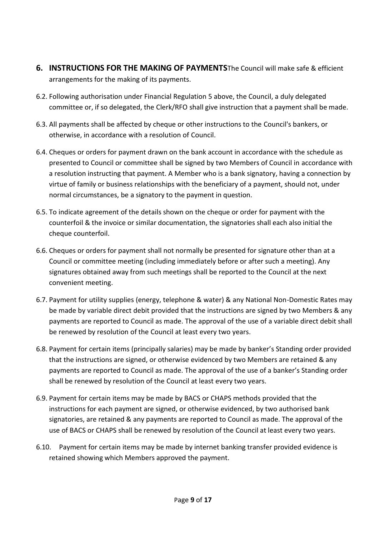- **6. INSTRUCTIONS FOR THE MAKING OF PAYMENTS**The Council will make safe & efficient arrangements for the making of its payments.
- 6.2. Following authorisation under Financial Regulation 5 above, the Council, a duly delegated committee or, if so delegated, the Clerk/RFO shall give instruction that a payment shall be made.
- 6.3. All payments shall be affected by cheque or other instructions to the Council's bankers, or otherwise, in accordance with a resolution of Council.
- 6.4. Cheques or orders for payment drawn on the bank account in accordance with the schedule as presented to Council or committee shall be signed by two Members of Council in accordance with a resolution instructing that payment. A Member who is a bank signatory, having a connection by virtue of family or business relationships with the beneficiary of a payment, should not, under normal circumstances, be a signatory to the payment in question.
- 6.5. To indicate agreement of the details shown on the cheque or order for payment with the counterfoil & the invoice or similar documentation, the signatories shall each also initial the cheque counterfoil.
- 6.6. Cheques or orders for payment shall not normally be presented for signature other than at a Council or committee meeting (including immediately before or after such a meeting). Any signatures obtained away from such meetings shall be reported to the Council at the next convenient meeting.
- 6.7. Payment for utility supplies (energy, telephone & water) & any National Non-Domestic Rates may be made by variable direct debit provided that the instructions are signed by two Members & any payments are reported to Council as made. The approval of the use of a variable direct debit shall be renewed by resolution of the Council at least every two years.
- 6.8. Payment for certain items (principally salaries) may be made by banker's Standing order provided that the instructions are signed, or otherwise evidenced by two Members are retained & any payments are reported to Council as made. The approval of the use of a banker's Standing order shall be renewed by resolution of the Council at least every two years.
- 6.9. Payment for certain items may be made by BACS or CHAPS methods provided that the instructions for each payment are signed, or otherwise evidenced, by two authorised bank signatories, are retained & any payments are reported to Council as made. The approval of the use of BACS or CHAPS shall be renewed by resolution of the Council at least every two years.
- 6.10. Payment for certain items may be made by internet banking transfer provided evidence is retained showing which Members approved the payment.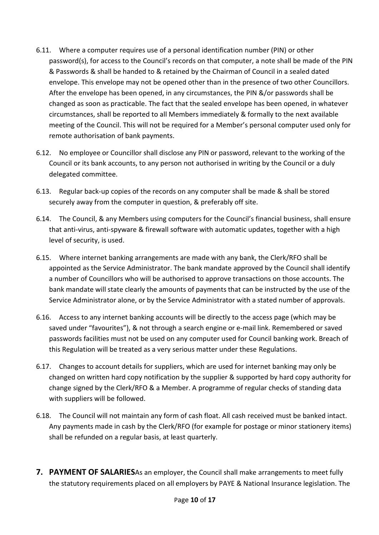- 6.11. Where a computer requires use of a personal identification number (PIN) or other password(s), for access to the Council's records on that computer, a note shall be made of the PIN & Passwords & shall be handed to & retained by the Chairman of Council in a sealed dated envelope. This envelope may not be opened other than in the presence of two other Councillors. After the envelope has been opened, in any circumstances, the PIN &/or passwords shall be changed as soon as practicable. The fact that the sealed envelope has been opened, in whatever circumstances, shall be reported to all Members immediately & formally to the next available meeting of the Council. This will not be required for a Member's personal computer used only for remote authorisation of bank payments.
- 6.12. No employee or Councillor shall disclose any PIN or password, relevant to the working of the Council or its bank accounts, to any person not authorised in writing by the Council or a duly delegated committee.
- 6.13. Regular back-up copies of the records on any computer shall be made & shall be stored securely away from the computer in question, & preferably off site.
- 6.14. The Council, & any Members using computers for the Council's financial business, shall ensure that anti-virus, anti-spyware & firewall software with automatic updates, together with a high level of security, is used.
- 6.15. Where internet banking arrangements are made with any bank, the Clerk/RFO shall be appointed as the Service Administrator. The bank mandate approved by the Council shall identify a number of Councillors who will be authorised to approve transactions on those accounts. The bank mandate will state clearly the amounts of payments that can be instructed by the use of the Service Administrator alone, or by the Service Administrator with a stated number of approvals.
- 6.16. Access to any internet banking accounts will be directly to the access page (which may be saved under "favourites"), & not through a search engine or e-mail link. Remembered or saved passwords facilities must not be used on any computer used for Council banking work. Breach of this Regulation will be treated as a very serious matter under these Regulations.
- 6.17. Changes to account details for suppliers, which are used for internet banking may only be changed on written hard copy notification by the supplier & supported by hard copy authority for change signed by the Clerk/RFO & a Member. A programme of regular checks of standing data with suppliers will be followed.
- 6.18. The Council will not maintain any form of cash float. All cash received must be banked intact. Any payments made in cash by the Clerk/RFO (for example for postage or minor stationery items) shall be refunded on a regular basis, at least quarterly.
- **7. PAYMENT OF SALARIES**As an employer, the Council shall make arrangements to meet fully the statutory requirements placed on all employers by PAYE & National Insurance legislation. The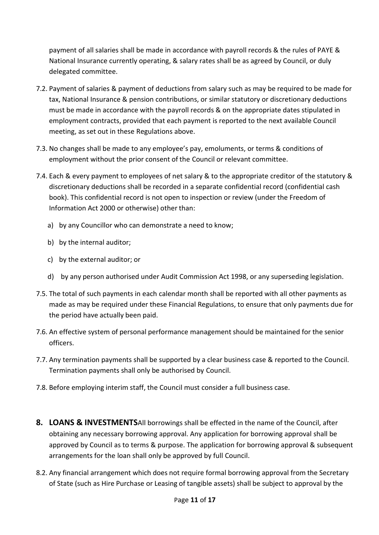payment of all salaries shall be made in accordance with payroll records & the rules of PAYE & National Insurance currently operating, & salary rates shall be as agreed by Council, or duly delegated committee.

- 7.2. Payment of salaries & payment of deductions from salary such as may be required to be made for tax, National Insurance & pension contributions, or similar statutory or discretionary deductions must be made in accordance with the payroll records & on the appropriate dates stipulated in employment contracts, provided that each payment is reported to the next available Council meeting, as set out in these Regulations above.
- 7.3. No changes shall be made to any employee's pay, emoluments, or terms & conditions of employment without the prior consent of the Council or relevant committee.
- 7.4. Each & every payment to employees of net salary & to the appropriate creditor of the statutory & discretionary deductions shall be recorded in a separate confidential record (confidential cash book). This confidential record is not open to inspection or review (under the Freedom of Information Act 2000 or otherwise) other than:
	- a) by any Councillor who can demonstrate a need to know;
	- b) by the internal auditor;
	- c) by the external auditor; or
	- d) by any person authorised under Audit Commission Act 1998, or any superseding legislation.
- 7.5. The total of such payments in each calendar month shall be reported with all other payments as made as may be required under these Financial Regulations, to ensure that only payments due for the period have actually been paid.
- 7.6. An effective system of personal performance management should be maintained for the senior officers.
- 7.7. Any termination payments shall be supported by a clear business case & reported to the Council. Termination payments shall only be authorised by Council.
- 7.8. Before employing interim staff, the Council must consider a full business case.
- **8. LOANS & INVESTMENTS**All borrowings shall be effected in the name of the Council, after obtaining any necessary borrowing approval. Any application for borrowing approval shall be approved by Council as to terms & purpose. The application for borrowing approval & subsequent arrangements for the loan shall only be approved by full Council.
- 8.2. Any financial arrangement which does not require formal borrowing approval from the Secretary of State (such as Hire Purchase or Leasing of tangible assets) shall be subject to approval by the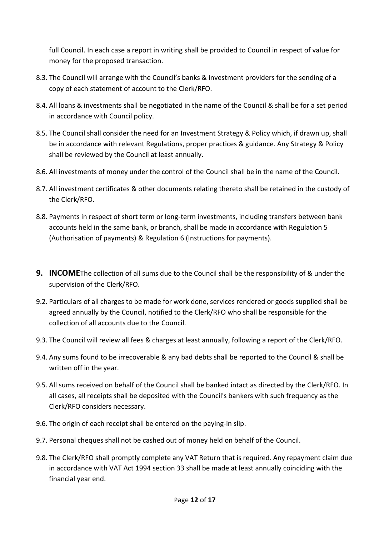full Council. In each case a report in writing shall be provided to Council in respect of value for money for the proposed transaction.

- 8.3. The Council will arrange with the Council's banks & investment providers for the sending of a copy of each statement of account to the Clerk/RFO.
- 8.4. All loans & investments shall be negotiated in the name of the Council & shall be for a set period in accordance with Council policy.
- 8.5. The Council shall consider the need for an Investment Strategy & Policy which, if drawn up, shall be in accordance with relevant Regulations, proper practices & guidance. Any Strategy & Policy shall be reviewed by the Council at least annually.
- 8.6. All investments of money under the control of the Council shall be in the name of the Council.
- 8.7. All investment certificates & other documents relating thereto shall be retained in the custody of the Clerk/RFO.
- 8.8. Payments in respect of short term or long-term investments, including transfers between bank accounts held in the same bank, or branch, shall be made in accordance with Regulation 5 (Authorisation of payments) & Regulation 6 (Instructions for payments).
- **9. INCOME**The collection of all sums due to the Council shall be the responsibility of & under the supervision of the Clerk/RFO.
- 9.2. Particulars of all charges to be made for work done, services rendered or goods supplied shall be agreed annually by the Council, notified to the Clerk/RFO who shall be responsible for the collection of all accounts due to the Council.
- 9.3. The Council will review all fees & charges at least annually, following a report of the Clerk/RFO.
- 9.4. Any sums found to be irrecoverable & any bad debts shall be reported to the Council & shall be written off in the year.
- 9.5. All sums received on behalf of the Council shall be banked intact as directed by the Clerk/RFO. In all cases, all receipts shall be deposited with the Council's bankers with such frequency as the Clerk/RFO considers necessary.
- 9.6. The origin of each receipt shall be entered on the paying-in slip.
- 9.7. Personal cheques shall not be cashed out of money held on behalf of the Council.
- 9.8. The Clerk/RFO shall promptly complete any VAT Return that is required. Any repayment claim due in accordance with VAT Act 1994 section 33 shall be made at least annually coinciding with the financial year end.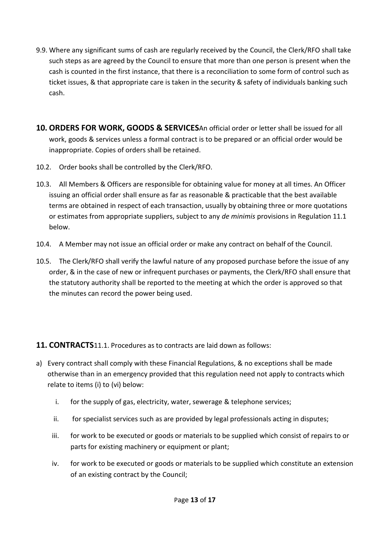- 9.9. Where any significant sums of cash are regularly received by the Council, the Clerk/RFO shall take such steps as are agreed by the Council to ensure that more than one person is present when the cash is counted in the first instance, that there is a reconciliation to some form of control such as ticket issues, & that appropriate care is taken in the security & safety of individuals banking such cash.
- **10. ORDERS FOR WORK, GOODS & SERVICES**An official order or letter shall be issued for all work, goods & services unless a formal contract is to be prepared or an official order would be inappropriate. Copies of orders shall be retained.
- 10.2. Order books shall be controlled by the Clerk/RFO.
- 10.3. All Members & Officers are responsible for obtaining value for money at all times. An Officer issuing an official order shall ensure as far as reasonable & practicable that the best available terms are obtained in respect of each transaction, usually by obtaining three or more quotations or estimates from appropriate suppliers, subject to any *de minimis* provisions in Regulation 11.1 below.
- 10.4. A Member may not issue an official order or make any contract on behalf of the Council.
- 10.5. The Clerk/RFO shall verify the lawful nature of any proposed purchase before the issue of any order, & in the case of new or infrequent purchases or payments, the Clerk/RFO shall ensure that the statutory authority shall be reported to the meeting at which the order is approved so that the minutes can record the power being used.

## **11. CONTRACTS**11.1. Procedures as to contracts are laid down as follows:

- a) Every contract shall comply with these Financial Regulations, & no exceptions shall be made otherwise than in an emergency provided that this regulation need not apply to contracts which relate to items (i) to (vi) below:
	- i. for the supply of gas, electricity, water, sewerage & telephone services;
	- ii. for specialist services such as are provided by legal professionals acting in disputes;
	- iii. for work to be executed or goods or materials to be supplied which consist of repairs to or parts for existing machinery or equipment or plant;
	- iv. for work to be executed or goods or materials to be supplied which constitute an extension of an existing contract by the Council;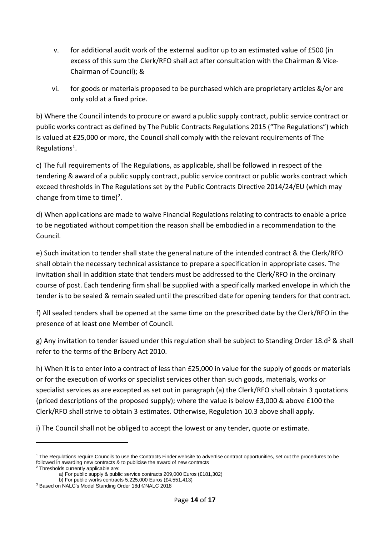- v. for additional audit work of the external auditor up to an estimated value of £500 (in excess of this sum the Clerk/RFO shall act after consultation with the Chairman & Vice-Chairman of Council); &
- vi. for goods or materials proposed to be purchased which are proprietary articles &/or are only sold at a fixed price.

b) Where the Council intends to procure or award a public supply contract, public service contract or public works contract as defined by The Public Contracts Regulations 2015 ("The Regulations") which is valued at £25,000 or more, the Council shall comply with the relevant requirements of The Regulations<sup>1</sup>.

c) The full requirements of The Regulations, as applicable, shall be followed in respect of the tendering & award of a public supply contract, public service contract or public works contract which exceed thresholds in The Regulations set by the Public Contracts Directive 2014/24/EU (which may change from time to time)<sup>2</sup>.

d) When applications are made to waive Financial Regulations relating to contracts to enable a price to be negotiated without competition the reason shall be embodied in a recommendation to the Council.

e) Such invitation to tender shall state the general nature of the intended contract & the Clerk/RFO shall obtain the necessary technical assistance to prepare a specification in appropriate cases. The invitation shall in addition state that tenders must be addressed to the Clerk/RFO in the ordinary course of post. Each tendering firm shall be supplied with a specifically marked envelope in which the tender is to be sealed & remain sealed until the prescribed date for opening tenders for that contract.

f) All sealed tenders shall be opened at the same time on the prescribed date by the Clerk/RFO in the presence of at least one Member of Council.

g) Any invitation to tender issued under this regulation shall be subject to Standing Order 18.d<sup>3</sup> & shall refer to the terms of the Bribery Act 2010.

h) When it is to enter into a contract of less than £25,000 in value for the supply of goods or materials or for the execution of works or specialist services other than such goods, materials, works or specialist services as are excepted as set out in paragraph (a) the Clerk/RFO shall obtain 3 quotations (priced descriptions of the proposed supply); where the value is below £3,000 & above £100 the Clerk/RFO shall strive to obtain 3 estimates. Otherwise, Regulation 10.3 above shall apply.

i) The Council shall not be obliged to accept the lowest or any tender, quote or estimate.

<sup>&</sup>lt;sup>1</sup> The Regulations require Councils to use the Contracts Finder website to advertise contract opportunities, set out the procedures to be followed in awarding new contracts & to publicise the award of new contracts <sup>2</sup> Thresholds currently applicable are:

a) For public supply & public service contracts 209,000 Euros (£181,302) b) For public works contracts 5,225,000 Euros (£4,551,413)

<sup>3</sup> Based on NALC's Model Standing Order 18d ©NALC 2018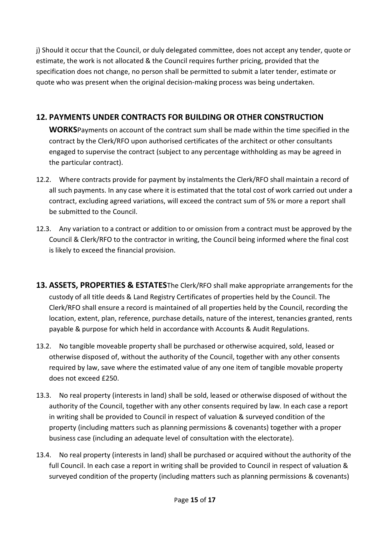j) Should it occur that the Council, or duly delegated committee, does not accept any tender, quote or estimate, the work is not allocated & the Council requires further pricing, provided that the specification does not change, no person shall be permitted to submit a later tender, estimate or quote who was present when the original decision-making process was being undertaken.

## **12. PAYMENTS UNDER CONTRACTS FOR BUILDING OR OTHER CONSTRUCTION**

**WORKS**Payments on account of the contract sum shall be made within the time specified in the contract by the Clerk/RFO upon authorised certificates of the architect or other consultants engaged to supervise the contract (subject to any percentage withholding as may be agreed in the particular contract).

- 12.2. Where contracts provide for payment by instalments the Clerk/RFO shall maintain a record of all such payments. In any case where it is estimated that the total cost of work carried out under a contract, excluding agreed variations, will exceed the contract sum of 5% or more a report shall be submitted to the Council.
- 12.3. Any variation to a contract or addition to or omission from a contract must be approved by the Council & Clerk/RFO to the contractor in writing, the Council being informed where the final cost is likely to exceed the financial provision.
- **13. ASSETS, PROPERTIES & ESTATES**The Clerk/RFO shall make appropriate arrangements for the custody of all title deeds & Land Registry Certificates of properties held by the Council. The Clerk/RFO shall ensure a record is maintained of all properties held by the Council, recording the location, extent, plan, reference, purchase details, nature of the interest, tenancies granted, rents payable & purpose for which held in accordance with Accounts & Audit Regulations.
- 13.2. No tangible moveable property shall be purchased or otherwise acquired, sold, leased or otherwise disposed of, without the authority of the Council, together with any other consents required by law, save where the estimated value of any one item of tangible movable property does not exceed £250.
- 13.3. No real property (interests in land) shall be sold, leased or otherwise disposed of without the authority of the Council, together with any other consents required by law. In each case a report in writing shall be provided to Council in respect of valuation & surveyed condition of the property (including matters such as planning permissions & covenants) together with a proper business case (including an adequate level of consultation with the electorate).
- 13.4. No real property (interests in land) shall be purchased or acquired without the authority of the full Council. In each case a report in writing shall be provided to Council in respect of valuation & surveyed condition of the property (including matters such as planning permissions & covenants)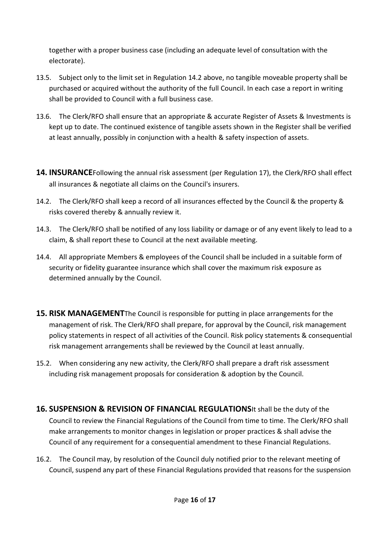together with a proper business case (including an adequate level of consultation with the electorate).

- 13.5. Subject only to the limit set in Regulation 14.2 above, no tangible moveable property shall be purchased or acquired without the authority of the full Council. In each case a report in writing shall be provided to Council with a full business case.
- 13.6. The Clerk/RFO shall ensure that an appropriate & accurate Register of Assets & Investments is kept up to date. The continued existence of tangible assets shown in the Register shall be verified at least annually, possibly in conjunction with a health & safety inspection of assets.
- **14. INSURANCE**Following the annual risk assessment (per Regulation 17), the Clerk/RFO shall effect all insurances & negotiate all claims on the Council's insurers.
- 14.2. The Clerk/RFO shall keep a record of all insurances effected by the Council & the property & risks covered thereby & annually review it.
- 14.3. The Clerk/RFO shall be notified of any loss liability or damage or of any event likely to lead to a claim, & shall report these to Council at the next available meeting.
- 14.4. All appropriate Members & employees of the Council shall be included in a suitable form of security or fidelity guarantee insurance which shall cover the maximum risk exposure as determined annually by the Council.
- **15. RISK MANAGEMENT**The Council is responsible for putting in place arrangements for the management of risk. The Clerk/RFO shall prepare, for approval by the Council, risk management policy statements in respect of all activities of the Council. Risk policy statements & consequential risk management arrangements shall be reviewed by the Council at least annually.
- 15.2. When considering any new activity, the Clerk/RFO shall prepare a draft risk assessment including risk management proposals for consideration & adoption by the Council.
- **16. SUSPENSION & REVISION OF FINANCIAL REGULATIONS**It shall be the duty of the Council to review the Financial Regulations of the Council from time to time. The Clerk/RFO shall make arrangements to monitor changes in legislation or proper practices & shall advise the Council of any requirement for a consequential amendment to these Financial Regulations.
- 16.2. The Council may, by resolution of the Council duly notified prior to the relevant meeting of Council, suspend any part of these Financial Regulations provided that reasons for the suspension